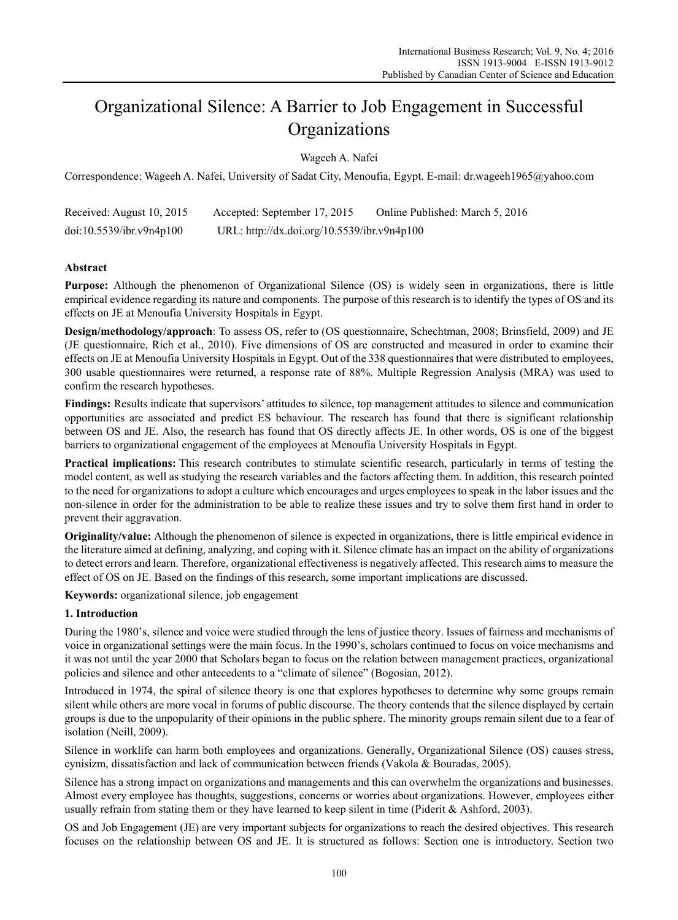# Organizational Silence: A Barrier to Job Engagement in Successful **Organizations**

Wageeh A. Nafei

Correspondence: Wageeh A. Nafei, University of Sadat City, Menoufia, Egypt. E-mail: dr.wageeh1965@yahoo.com

| Received: August 10, 2015 | Accepted: September 17, 2015                | Online Published: March 5, 2016 |
|---------------------------|---------------------------------------------|---------------------------------|
| doi:10.5539/ibr.v9n4p100  | URL: http://dx.doi.org/10.5539/ibr.v9n4p100 |                                 |

# **Abstract**

**Purpose:** Although the phenomenon of Organizational Silence (OS) is widely seen in organizations, there is little empirical evidence regarding its nature and components. The purpose of this research is to identify the types of OS and its effects on JE at Menoufia University Hospitals in Egypt.

**Design/methodology/approach**: To assess OS, refer to (OS questionnaire, Schechtman, 2008; Brinsfield, 2009) and JE (JE questionnaire, Rich et al., 2010). Five dimensions of OS are constructed and measured in order to examine their effects on JE at Menoufia University Hospitals in Egypt. Out of the 338 questionnaires that were distributed to employees, 300 usable questionnaires were returned, a response rate of 88%. Multiple Regression Analysis (MRA) was used to confirm the research hypotheses.

**Findings:** Results indicate that supervisors' attitudes to silence, top management attitudes to silence and communication opportunities are associated and predict ES behaviour. The research has found that there is significant relationship between OS and JE. Also, the research has found that OS directly affects JE. In other words, OS is one of the biggest barriers to organizational engagement of the employees at Menoufia University Hospitals in Egypt.

**Practical implications:** This research contributes to stimulate scientific research, particularly in terms of testing the model content, as well as studying the research variables and the factors affecting them. In addition, this research pointed to the need for organizations to adopt a culture which encourages and urges employees to speak in the labor issues and the non-silence in order for the administration to be able to realize these issues and try to solve them first hand in order to prevent their aggravation.

**Originality/value:** Although the phenomenon of silence is expected in organizations, there is little empirical evidence in the literature aimed at defining, analyzing, and coping with it. Silence climate has an impact on the ability of organizations to detect errors and learn. Therefore, organizational effectiveness is negatively affected. This research aims to measure the effect of OS on JE. Based on the findings of this research, some important implications are discussed.

**Keywords:** organizational silence, job engagement

# **1. Introduction**

During the 1980's, silence and voice were studied through the lens of justice theory. Issues of fairness and mechanisms of voice in organizational settings were the main focus. In the 1990's, scholars continued to focus on voice mechanisms and it was not until the year 2000 that Scholars began to focus on the relation between management practices, organizational policies and silence and other antecedents to a "climate of silence" (Bogosian, 2012).

Introduced in 1974, the spiral of silence theory is one that explores hypotheses to determine why some groups remain silent while others are more vocal in forums of public discourse. The theory contends that the silence displayed by certain groups is due to the unpopularity of their opinions in the public sphere. The minority groups remain silent due to a fear of isolation (Neill, 2009).

Silence in worklife can harm both employees and organizations. Generally, Organizational Silence (OS) causes stress, cynisizm, dissatisfaction and lack of communication between friends (Vakola & Bouradas, 2005).

Silence has a strong impact on organizations and managements and this can overwhelm the organizations and businesses. Almost every employee has thoughts, suggestions, concerns or worries about organizations. However, employees either usually refrain from stating them or they have learned to keep silent in time (Piderit & Ashford, 2003).

OS and Job Engagement (JE) are very important subjects for organizations to reach the desired objectives. This research focuses on the relationship between OS and JE. It is structured as follows: Section one is introductory. Section two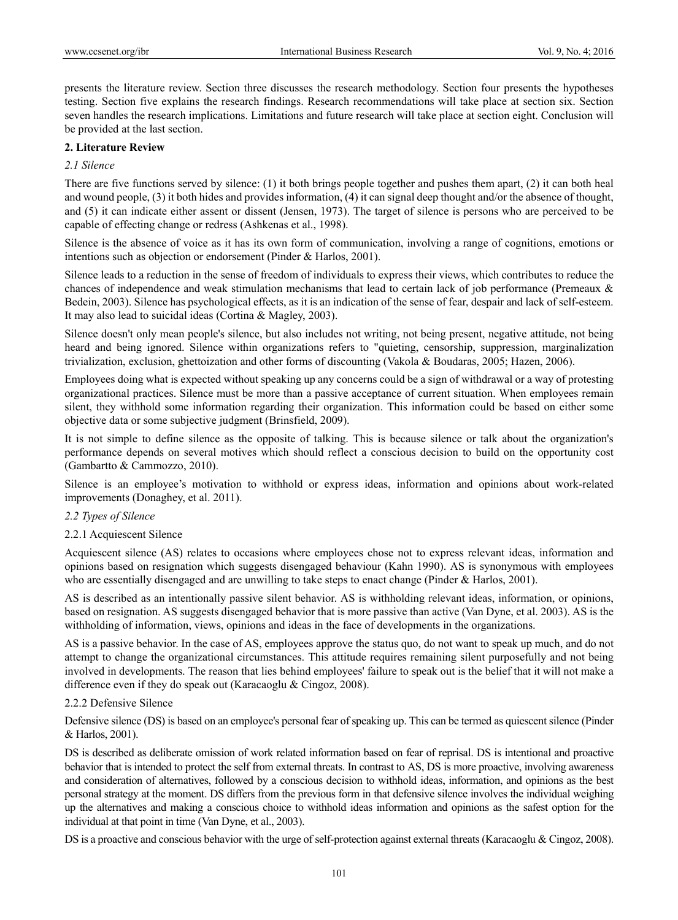presents the literature review. Section three discusses the research methodology. Section four presents the hypotheses testing. Section five explains the research findings. Research recommendations will take place at section six. Section seven handles the research implications. Limitations and future research will take place at section eight. Conclusion will be provided at the last section.

## **2. Literature Review**

## *2.1 Silence*

There are five functions served by silence: (1) it both brings people together and pushes them apart, (2) it can both heal and wound people, (3) it both hides and provides information, (4) it can signal deep thought and/or the absence of thought, and (5) it can indicate either assent or dissent (Jensen, 1973). The target of silence is persons who are perceived to be capable of effecting change or redress (Ashkenas et al., 1998).

Silence is the absence of voice as it has its own form of communication, involving a range of cognitions, emotions or intentions such as objection or endorsement (Pinder & Harlos, 2001).

Silence leads to a reduction in the sense of freedom of individuals to express their views, which contributes to reduce the chances of independence and weak stimulation mechanisms that lead to certain lack of job performance (Premeaux & Bedein, 2003). Silence has psychological effects, as it is an indication of the sense of fear, despair and lack of self-esteem. It may also lead to suicidal ideas (Cortina & Magley, 2003).

Silence doesn't only mean people's silence, but also includes not writing, not being present, negative attitude, not being heard and being ignored. Silence within organizations refers to "quieting, censorship, suppression, marginalization trivialization, exclusion, ghettoization and other forms of discounting (Vakola & Boudaras, 2005; Hazen, 2006).

Employees doing what is expected without speaking up any concerns could be a sign of withdrawal or a way of protesting organizational practices. Silence must be more than a passive acceptance of current situation. When employees remain silent, they withhold some information regarding their organization. This information could be based on either some objective data or some subjective judgment (Brinsfield, 2009).

It is not simple to define silence as the opposite of talking. This is because silence or talk about the organization's performance depends on several motives which should reflect a conscious decision to build on the opportunity cost (Gambartto & Cammozzo, 2010).

Silence is an employee's motivation to withhold or express ideas, information and opinions about work-related improvements (Donaghey, et al. 2011).

# *2.2 Types of Silence*

## 2.2.1 Acquiescent Silence

Acquiescent silence (AS) relates to occasions where employees chose not to express relevant ideas, information and opinions based on resignation which suggests disengaged behaviour (Kahn 1990). AS is synonymous with employees who are essentially disengaged and are unwilling to take steps to enact change (Pinder & Harlos, 2001).

AS is described as an intentionally passive silent behavior. AS is withholding relevant ideas, information, or opinions, based on resignation. AS suggests disengaged behavior that is more passive than active (Van Dyne, et al. 2003). AS is the withholding of information, views, opinions and ideas in the face of developments in the organizations.

AS is a passive behavior. In the case of AS, employees approve the status quo, do not want to speak up much, and do not attempt to change the organizational circumstances. This attitude requires remaining silent purposefully and not being involved in developments. The reason that lies behind employees' failure to speak out is the belief that it will not make a difference even if they do speak out (Karacaoglu & Cingoz, 2008).

## 2.2.2 Defensive Silence

Defensive silence (DS) is based on an employee's personal fear of speaking up. This can be termed as quiescent silence (Pinder & Harlos, 2001).

DS is described as deliberate omission of work related information based on fear of reprisal. DS is intentional and proactive behavior that is intended to protect the self from external threats. In contrast to AS, DS is more proactive, involving awareness and consideration of alternatives, followed by a conscious decision to withhold ideas, information, and opinions as the best personal strategy at the moment. DS differs from the previous form in that defensive silence involves the individual weighing up the alternatives and making a conscious choice to withhold ideas information and opinions as the safest option for the individual at that point in time (Van Dyne, et al., 2003).

DS is a proactive and conscious behavior with the urge of self-protection against external threats (Karacaoglu & Cingoz, 2008).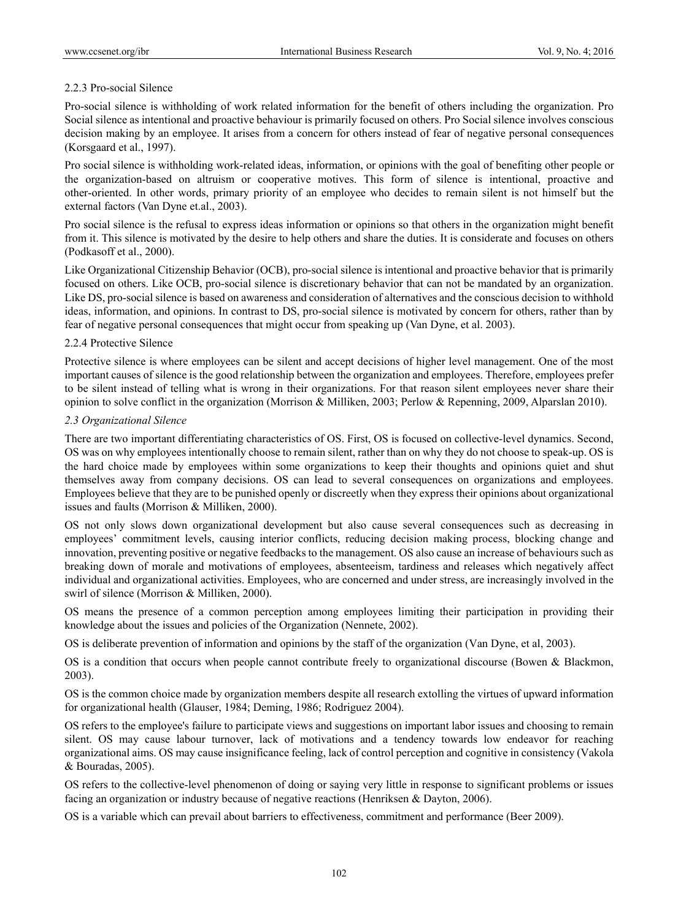# 2.2.3 Pro-social Silence

Pro-social silence is withholding of work related information for the benefit of others including the organization. Pro Social silence as intentional and proactive behaviour is primarily focused on others. Pro Social silence involves conscious decision making by an employee. It arises from a concern for others instead of fear of negative personal consequences (Korsgaard et al., 1997).

Pro social silence is withholding work-related ideas, information, or opinions with the goal of benefiting other people or the organization-based on altruism or cooperative motives. This form of silence is intentional, proactive and other-oriented. In other words, primary priority of an employee who decides to remain silent is not himself but the external factors (Van Dyne et.al., 2003).

Pro social silence is the refusal to express ideas information or opinions so that others in the organization might benefit from it. This silence is motivated by the desire to help others and share the duties. It is considerate and focuses on others (Podkasoff et al., 2000).

Like Organizational Citizenship Behavior (OCB), pro-social silence is intentional and proactive behavior that is primarily focused on others. Like OCB, pro-social silence is discretionary behavior that can not be mandated by an organization. Like DS, pro-social silence is based on awareness and consideration of alternatives and the conscious decision to withhold ideas, information, and opinions. In contrast to DS, pro-social silence is motivated by concern for others, rather than by fear of negative personal consequences that might occur from speaking up (Van Dyne, et al. 2003).

## 2.2.4 Protective Silence

Protective silence is where employees can be silent and accept decisions of higher level management. One of the most important causes of silence is the good relationship between the organization and employees. Therefore, employees prefer to be silent instead of telling what is wrong in their organizations. For that reason silent employees never share their opinion to solve conflict in the organization (Morrison & Milliken, 2003; Perlow & Repenning, 2009, Alparslan 2010).

## *2.3 Organizational Silence*

There are two important differentiating characteristics of OS. First, OS is focused on collective-level dynamics. Second, OS was on why employees intentionally choose to remain silent, rather than on why they do not choose to speak-up. OS is the hard choice made by employees within some organizations to keep their thoughts and opinions quiet and shut themselves away from company decisions. OS can lead to several consequences on organizations and employees. Employees believe that they are to be punished openly or discreetly when they express their opinions about organizational issues and faults (Morrison & Milliken, 2000).

OS not only slows down organizational development but also cause several consequences such as decreasing in employees' commitment levels, causing interior conflicts, reducing decision making process, blocking change and innovation, preventing positive or negative feedbacks to the management. OS also cause an increase of behaviours such as breaking down of morale and motivations of employees, absenteeism, tardiness and releases which negatively affect individual and organizational activities. Employees, who are concerned and under stress, are increasingly involved in the swirl of silence (Morrison & Milliken, 2000).

OS means the presence of a common perception among employees limiting their participation in providing their knowledge about the issues and policies of the Organization (Nennete, 2002).

OS is deliberate prevention of information and opinions by the staff of the organization (Van Dyne, et al, 2003).

OS is a condition that occurs when people cannot contribute freely to organizational discourse (Bowen & Blackmon, 2003).

OS is the common choice made by organization members despite all research extolling the virtues of upward information for organizational health (Glauser, 1984; Deming, 1986; Rodriguez 2004).

OS refers to the employee's failure to participate views and suggestions on important labor issues and choosing to remain silent. OS may cause labour turnover, lack of motivations and a tendency towards low endeavor for reaching organizational aims. OS may cause insignificance feeling, lack of control perception and cognitive in consistency (Vakola & Bouradas, 2005).

OS refers to the collective-level phenomenon of doing or saying very little in response to significant problems or issues facing an organization or industry because of negative reactions (Henriksen & Dayton, 2006).

OS is a variable which can prevail about barriers to effectiveness, commitment and performance (Beer 2009).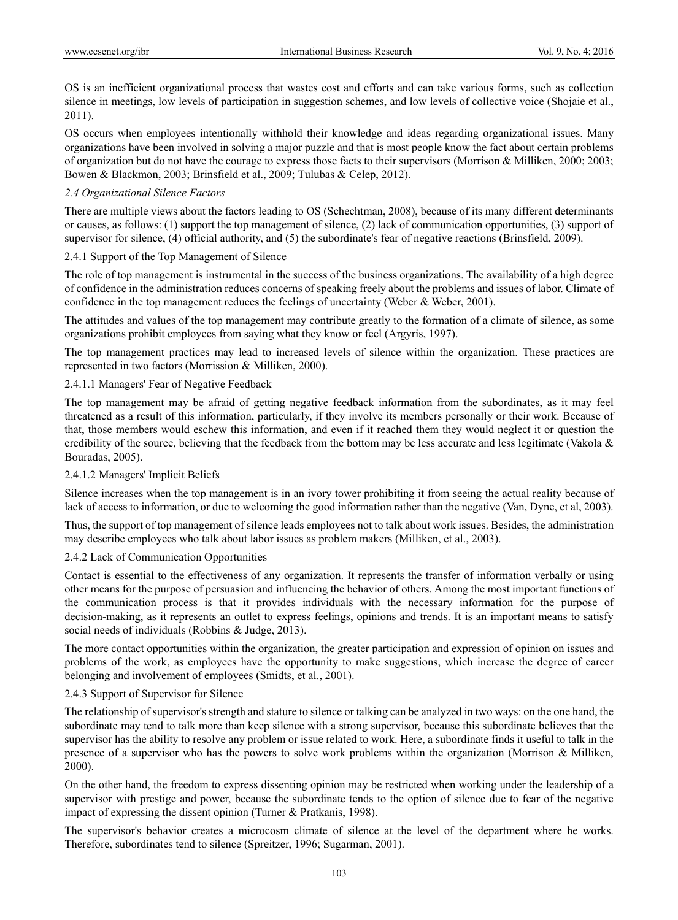OS is an inefficient organizational process that wastes cost and efforts and can take various forms, such as collection silence in meetings, low levels of participation in suggestion schemes, and low levels of collective voice (Shojaie et al., 2011).

OS occurs when employees intentionally withhold their knowledge and ideas regarding organizational issues. Many organizations have been involved in solving a major puzzle and that is most people know the fact about certain problems of organization but do not have the courage to express those facts to their supervisors (Morrison & Milliken, 2000; 2003; Bowen & Blackmon, 2003; Brinsfield et al., 2009; Tulubas & Celep, 2012).

#### *2.4 Organizational Silence Factors*

There are multiple views about the factors leading to OS (Schechtman, 2008), because of its many different determinants or causes, as follows: (1) support the top management of silence, (2) lack of communication opportunities, (3) support of supervisor for silence, (4) official authority, and (5) the subordinate's fear of negative reactions (Brinsfield, 2009).

#### 2.4.1 Support of the Top Management of Silence

The role of top management is instrumental in the success of the business organizations. The availability of a high degree of confidence in the administration reduces concerns of speaking freely about the problems and issues of labor. Climate of confidence in the top management reduces the feelings of uncertainty (Weber & Weber, 2001).

The attitudes and values of the top management may contribute greatly to the formation of a climate of silence, as some organizations prohibit employees from saying what they know or feel (Argyris, 1997).

The top management practices may lead to increased levels of silence within the organization. These practices are represented in two factors (Morrission & Milliken, 2000).

# 2.4.1.1 Managers' Fear of Negative Feedback

The top management may be afraid of getting negative feedback information from the subordinates, as it may feel threatened as a result of this information, particularly, if they involve its members personally or their work. Because of that, those members would eschew this information, and even if it reached them they would neglect it or question the credibility of the source, believing that the feedback from the bottom may be less accurate and less legitimate (Vakola  $\&$ Bouradas, 2005).

## 2.4.1.2 Managers' Implicit Beliefs

Silence increases when the top management is in an ivory tower prohibiting it from seeing the actual reality because of lack of access to information, or due to welcoming the good information rather than the negative (Van, Dyne, et al, 2003).

Thus, the support of top management of silence leads employees not to talk about work issues. Besides, the administration may describe employees who talk about labor issues as problem makers (Milliken, et al., 2003).

#### 2.4.2 Lack of Communication Opportunities

Contact is essential to the effectiveness of any organization. It represents the transfer of information verbally or using other means for the purpose of persuasion and influencing the behavior of others. Among the most important functions of the communication process is that it provides individuals with the necessary information for the purpose of decision-making, as it represents an outlet to express feelings, opinions and trends. It is an important means to satisfy social needs of individuals (Robbins & Judge, 2013).

The more contact opportunities within the organization, the greater participation and expression of opinion on issues and problems of the work, as employees have the opportunity to make suggestions, which increase the degree of career belonging and involvement of employees (Smidts, et al., 2001).

#### 2.4.3 Support of Supervisor for Silence

The relationship of supervisor's strength and stature to silence or talking can be analyzed in two ways: on the one hand, the subordinate may tend to talk more than keep silence with a strong supervisor, because this subordinate believes that the supervisor has the ability to resolve any problem or issue related to work. Here, a subordinate finds it useful to talk in the presence of a supervisor who has the powers to solve work problems within the organization (Morrison & Milliken, 2000).

On the other hand, the freedom to express dissenting opinion may be restricted when working under the leadership of a supervisor with prestige and power, because the subordinate tends to the option of silence due to fear of the negative impact of expressing the dissent opinion (Turner & Pratkanis, 1998).

The supervisor's behavior creates a microcosm climate of silence at the level of the department where he works. Therefore, subordinates tend to silence (Spreitzer, 1996; Sugarman, 2001).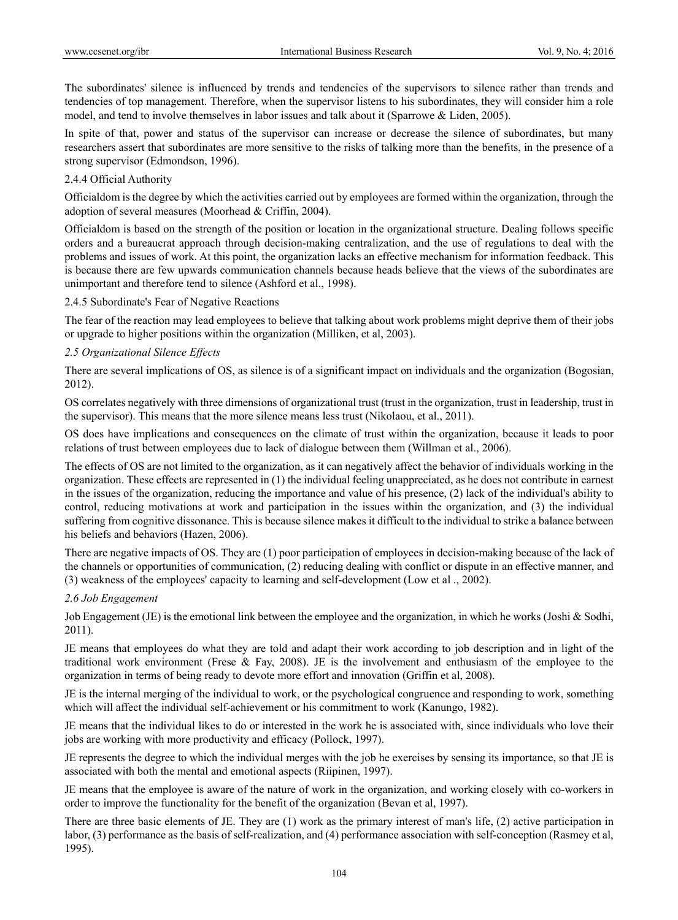The subordinates' silence is influenced by trends and tendencies of the supervisors to silence rather than trends and tendencies of top management. Therefore, when the supervisor listens to his subordinates, they will consider him a role model, and tend to involve themselves in labor issues and talk about it (Sparrowe & Liden, 2005).

In spite of that, power and status of the supervisor can increase or decrease the silence of subordinates, but many researchers assert that subordinates are more sensitive to the risks of talking more than the benefits, in the presence of a strong supervisor (Edmondson, 1996).

## 2.4.4 Official Authority

Officialdom is the degree by which the activities carried out by employees are formed within the organization, through the adoption of several measures (Moorhead & Criffin, 2004).

Officialdom is based on the strength of the position or location in the organizational structure. Dealing follows specific orders and a bureaucrat approach through decision-making centralization, and the use of regulations to deal with the problems and issues of work. At this point, the organization lacks an effective mechanism for information feedback. This is because there are few upwards communication channels because heads believe that the views of the subordinates are unimportant and therefore tend to silence (Ashford et al., 1998).

#### 2.4.5 Subordinate's Fear of Negative Reactions

The fear of the reaction may lead employees to believe that talking about work problems might deprive them of their jobs or upgrade to higher positions within the organization (Milliken, et al, 2003).

#### *2.5 Organizational Silence Effects*

There are several implications of OS, as silence is of a significant impact on individuals and the organization (Bogosian, 2012).

OS correlates negatively with three dimensions of organizational trust (trust in the organization, trust in leadership, trust in the supervisor). This means that the more silence means less trust (Nikolaou, et al., 2011).

OS does have implications and consequences on the climate of trust within the organization, because it leads to poor relations of trust between employees due to lack of dialogue between them (Willman et al., 2006).

The effects of OS are not limited to the organization, as it can negatively affect the behavior of individuals working in the organization. These effects are represented in (1) the individual feeling unappreciated, as he does not contribute in earnest in the issues of the organization, reducing the importance and value of his presence, (2) lack of the individual's ability to control, reducing motivations at work and participation in the issues within the organization, and (3) the individual suffering from cognitive dissonance. This is because silence makes it difficult to the individual to strike a balance between his beliefs and behaviors (Hazen, 2006).

There are negative impacts of OS. They are (1) poor participation of employees in decision-making because of the lack of the channels or opportunities of communication, (2) reducing dealing with conflict or dispute in an effective manner, and (3) weakness of the employees' capacity to learning and self-development (Low et al ., 2002).

#### *2.6 Job Engagement*

Job Engagement (JE) is the emotional link between the employee and the organization, in which he works (Joshi & Sodhi, 2011).

JE means that employees do what they are told and adapt their work according to job description and in light of the traditional work environment (Frese & Fay, 2008). JE is the involvement and enthusiasm of the employee to the organization in terms of being ready to devote more effort and innovation (Griffin et al, 2008).

JE is the internal merging of the individual to work, or the psychological congruence and responding to work, something which will affect the individual self-achievement or his commitment to work (Kanungo, 1982).

JE means that the individual likes to do or interested in the work he is associated with, since individuals who love their jobs are working with more productivity and efficacy (Pollock, 1997).

JE represents the degree to which the individual merges with the job he exercises by sensing its importance, so that JE is associated with both the mental and emotional aspects (Riipinen, 1997).

JE means that the employee is aware of the nature of work in the organization, and working closely with co-workers in order to improve the functionality for the benefit of the organization (Bevan et al, 1997).

There are three basic elements of JE. They are (1) work as the primary interest of man's life, (2) active participation in labor, (3) performance as the basis of self-realization, and (4) performance association with self-conception (Rasmey et al, 1995).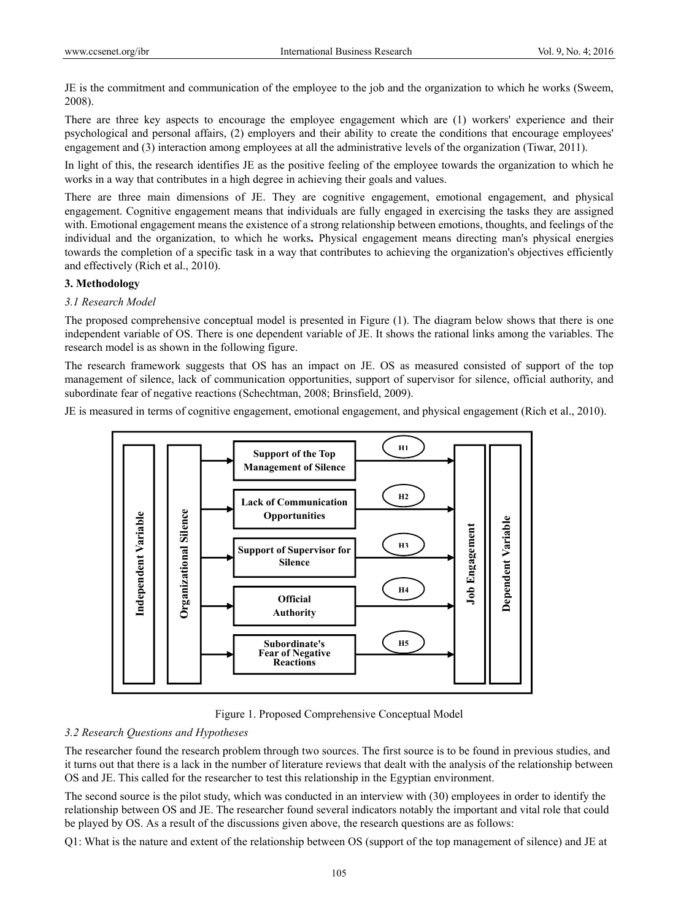JE is the commitment and communication of the employee to the job and the organization to which he works (Sweem, 2008).

There are three key aspects to encourage the employee engagement which are (1) workers' experience and their psychological and personal affairs, (2) employers and their ability to create the conditions that encourage employees' engagement and (3) interaction among employees at all the administrative levels of the organization (Tiwar, 2011).

In light of this, the research identifies JE as the positive feeling of the employee towards the organization to which he works in a way that contributes in a high degree in achieving their goals and values.

There are three main dimensions of JE. They are cognitive engagement, emotional engagement, and physical engagement. Cognitive engagement means that individuals are fully engaged in exercising the tasks they are assigned with. Emotional engagement means the existence of a strong relationship between emotions, thoughts, and feelings of the individual and the organization, to which he works**.** Physical engagement means directing man's physical energies towards the completion of a specific task in a way that contributes to achieving the organization's objectives efficiently and effectively (Rich et al., 2010).

#### **3. Methodology**

#### *3.1 Research Model*

The proposed comprehensive conceptual model is presented in Figure (1). The diagram below shows that there is one independent variable of OS. There is one dependent variable of JE. It shows the rational links among the variables. The research model is as shown in the following figure.

The research framework suggests that OS has an impact on JE. OS as measured consisted of support of the top management of silence, lack of communication opportunities, support of supervisor for silence, official authority, and subordinate fear of negative reactions (Schechtman, 2008; Brinsfield, 2009).

JE is measured in terms of cognitive engagement, emotional engagement, and physical engagement (Rich et al., 2010).



Figure 1. Proposed Comprehensive Conceptual Model

## *3.2 Research Questions and Hypotheses*

The researcher found the research problem through two sources. The first source is to be found in previous studies, and it turns out that there is a lack in the number of literature reviews that dealt with the analysis of the relationship between OS and JE. This called for the researcher to test this relationship in the Egyptian environment.

The second source is the pilot study, which was conducted in an interview with (30) employees in order to identify the relationship between OS and JE. The researcher found several indicators notably the important and vital role that could be played by OS. As a result of the discussions given above, the research questions are as follows: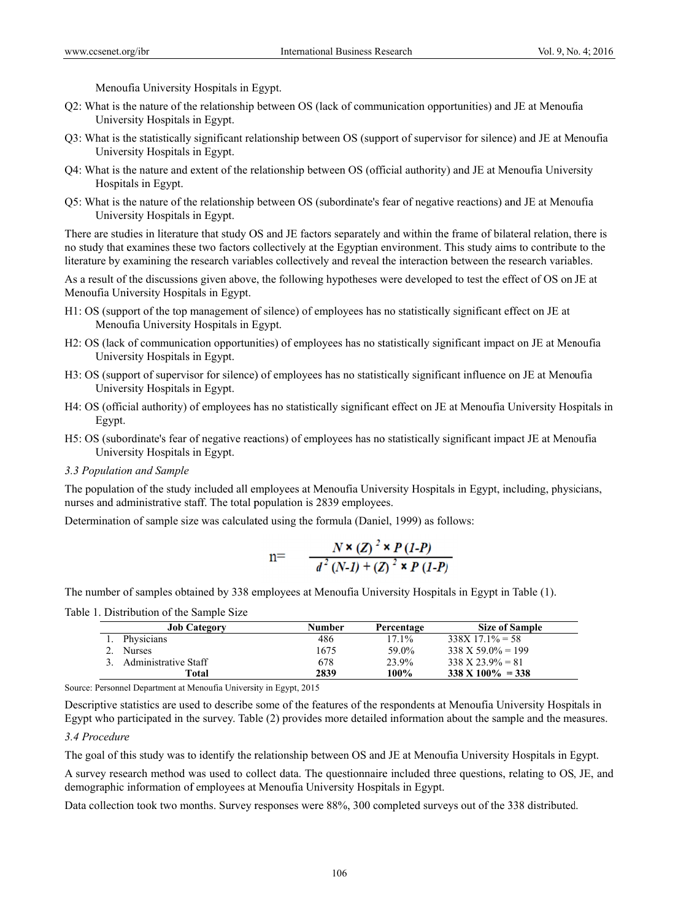Menoufia University Hospitals in Egypt.

- Q2: What is the nature of the relationship between OS (lack of communication opportunities) and JE at Menoufia Univer sity Hospitals in Egypt.
- Q3: What is the statistically significant relationship between OS (support of supervisor for silence) and JE at Menoufia Univer sity Hospitals in Egypt.
- Q4: What is the nature and extent of the relationship between OS (official authority) and JE at Menoufia University Hospitals in Egypt.
- Q5: What is the nature of the relationship between OS (subordinate's fear of negative reactions) and JE at Menoufia Univer sity Hospitals in Egypt.

There are studies in literature that study OS and JE factors separately and within the frame of bilateral relation, there is no study that examines these two factors collectively at the Egyptian environment. This study aims to contribute to the literature by examining the research variables collectively and reveal the interaction between the research variables.

As a result of the discussions given above, the following hypotheses were developed to test the effect of OS on JE at Menoufia University Hospitals in Egypt.

- H1: OS (support of the top management of silence) of employees has no statistically significant effect on JE at Menoufia University Hospitals in Egypt.
- H2: OS (lack of communication opportunities) of employees has no statistically significant impact on JE at Menoufia Univer sity Hospitals in Egypt.
- H3: OS (support of supervisor for silence) of employees has no statistically significant influence on JE at Menoufia Univer sity Hospitals in Egypt.
- H4: OS (official authority) of employees has no statistically significant effect on JE at Menoufia University Hospitals in Egypt.
- H5: OS (subordinate's fear of negative reactions) of employees has no statistically significant impact JE at Menoufia Univer sity Hospitals in Egypt.
- *3.3 Population n and Sample*

The population of the study included all employees at Menoufia University Hospitals in Egypt, including, physicians, nurses and administrative staff. The total population is 2839 employees.

Determination of sample size was calculated using the formula (Daniel, 1999) as follows:

n=
$$
N \times (Z)^2 \times P (1-P)
$$

$$
d^2 (N-1) + (Z)^2 \times P (1-P)
$$

The number of samples obtained by 338 employees at Menoufia University Hospitals in Egypt in Table (1).

Table 1. Distribution of the Sample Size

| <b>Job Category</b>  | Number | Percentage | <b>Size of Sample</b>         |
|----------------------|--------|------------|-------------------------------|
| Physicians           | 486    | $171\%$    | $338X$ 17.1% = 58             |
| <b>Nurses</b>        | 1675   | 59.0%      | $338 \text{ X } 59.0\% = 199$ |
| Administrative Staff | 678    | 23.9%      | $338 \text{ X } 23.9\% = 81$  |
| Fotal                | 2839   | 100%       | $338 \text{ X } 100\% = 338$  |

Source: Personnel Department at Menoufia University in Egypt, 2015

Descriptive statistics are used to describe some of the features of the respondents at Menoufia University Hospitals in Egypt who participated in the survey. Table (2) provides more detailed information about the sample and the measures.

# *3.4 Procedure e*

The goal of this study was to identify the relationship between OS and JE at Menoufia University Hospitals in Egypt.

A survey research method was used to collect data. The questionnaire included three questions, relating to OS, JE, and demographic information of employees at Menoufia University Hospitals in Egypt.

Data collection took two months. Survey responses were 88%, 300 completed surveys out of the 338 distributed.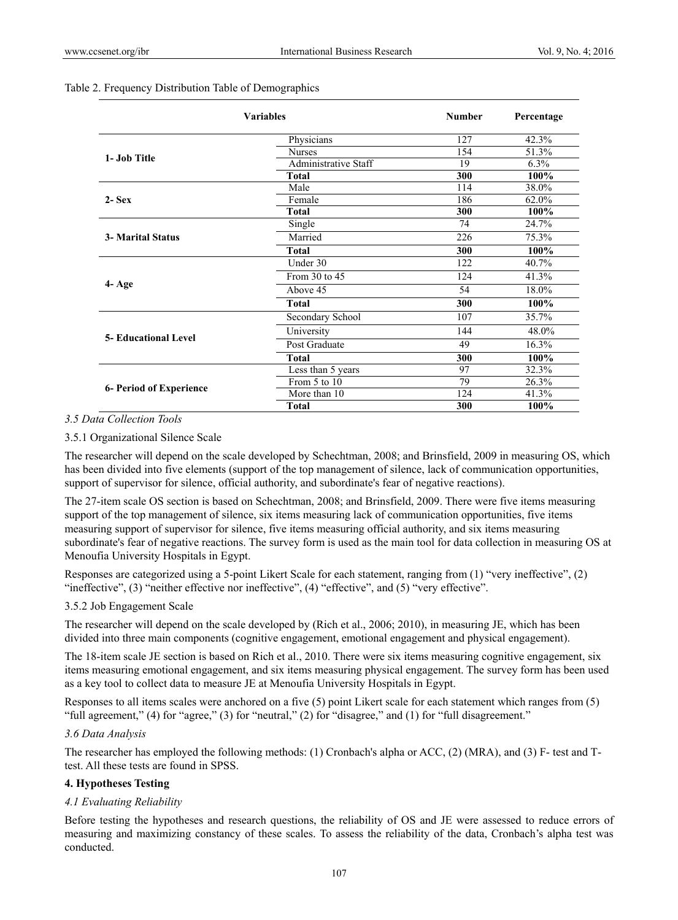| <b>Variables</b>            |                      | <b>Number</b> | Percentage |  |
|-----------------------------|----------------------|---------------|------------|--|
|                             | Physicians           | 127           | 42.3%      |  |
|                             | <b>Nurses</b>        | 154           | 51.3%      |  |
| 1- Job Title                | Administrative Staff | 19            | 6.3%       |  |
|                             | <b>Total</b>         | 300           | 100%       |  |
|                             | Male                 | 114           | 38.0%      |  |
| $2 - Sex$                   | Female               | 186           | 62.0%      |  |
|                             | <b>Total</b>         | 300           | 100%       |  |
|                             | Single               | 74            | 24.7%      |  |
| <b>3- Marital Status</b>    | Married              | 226           | 75.3%      |  |
|                             | <b>Total</b>         | 300           | 100%       |  |
|                             | Under 30             | 122           | 40.7%      |  |
|                             | From 30 to 45        | 124           | 41.3%      |  |
| 4- Age                      | Above 45             | 54            | 18.0%      |  |
|                             | <b>Total</b>         | 300           | 100%       |  |
|                             | Secondary School     | 107           | 35.7%      |  |
| <b>5- Educational Level</b> | University           | 144           | 48.0%      |  |
|                             | Post Graduate        | 49            | 16.3%      |  |
|                             | <b>Total</b>         | 300           | 100%       |  |
|                             | Less than 5 years    | 97            | 32.3%      |  |
|                             | From 5 to 10         | 79            | 26.3%      |  |
| 6- Period of Experience     | More than 10         | 124           | 41.3%      |  |
|                             | <b>Total</b>         | 300           | 100%       |  |

#### Table 2. Frequency Distribution Table of Demographics

# *3.5 Data Collection Tools*

## 3.5.1 Organizational Silence Scale

The researcher will depend on the scale developed by Schechtman, 2008; and Brinsfield, 2009 in measuring OS, which has been divided into five elements (support of the top management of silence, lack of communication opportunities, support of supervisor for silence, official authority, and subordinate's fear of negative reactions).

The 27-item scale OS section is based on Schechtman, 2008; and Brinsfield, 2009. There were five items measuring support of the top management of silence, six items measuring lack of communication opportunities, five items measuring support of supervisor for silence, five items measuring official authority, and six items measuring subordinate's fear of negative reactions. The survey form is used as the main tool for data collection in measuring OS at Menoufia University Hospitals in Egypt.

Responses are categorized using a 5-point Likert Scale for each statement, ranging from (1) "very ineffective", (2) "ineffective", (3) "neither effective nor ineffective", (4) "effective", and (5) "very effective".

## 3.5.2 Job Engagement Scale

The researcher will depend on the scale developed by (Rich et al., 2006; 2010), in measuring JE, which has been divided into three main components (cognitive engagement, emotional engagement and physical engagement).

The 18-item scale JE section is based on Rich et al., 2010. There were six items measuring cognitive engagement, six items measuring emotional engagement, and six items measuring physical engagement. The survey form has been used as a key tool to collect data to measure JE at Menoufia University Hospitals in Egypt.

Responses to all items scales were anchored on a five (5) point Likert scale for each statement which ranges from (5) "full agreement," (4) for "agree," (3) for "neutral," (2) for "disagree," and (1) for "full disagreement."

#### *3.6 Data Analysis*

The researcher has employed the following methods: (1) Cronbach's alpha or ACC, (2) (MRA), and (3) F- test and Ttest. All these tests are found in SPSS.

## **4. Hypotheses Testing**

## *4.1 Evaluating Reliability*

Before testing the hypotheses and research questions, the reliability of OS and JE were assessed to reduce errors of measuring and maximizing constancy of these scales. To assess the reliability of the data, Cronbach's alpha test was conducted.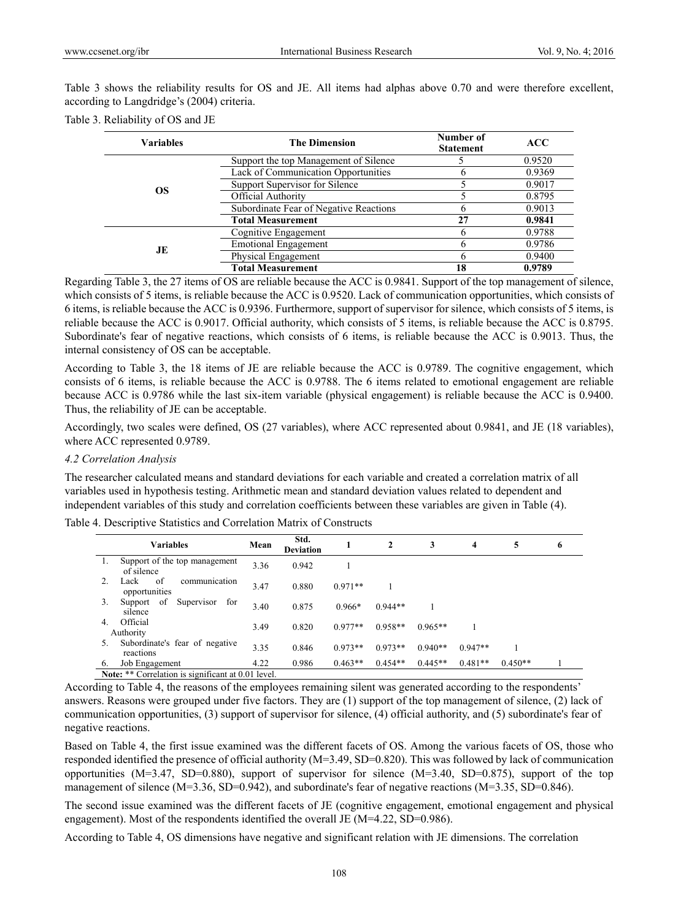Table 3 shows the reliability results for OS and JE. All items had alphas above 0.70 and were therefore excellent, according to Langdridge's (2004) criteria.

| <b>Variables</b> | <b>The Dimension</b>                       | Number of<br><b>Statement</b> | <b>ACC</b> |
|------------------|--------------------------------------------|-------------------------------|------------|
|                  | Support the top Management of Silence      |                               | 0.9520     |
|                  | <b>Lack of Communication Opportunities</b> |                               | 0.9369     |
| <b>OS</b>        | Support Supervisor for Silence             |                               | 0.9017     |
|                  | <b>Official Authority</b>                  |                               | 0.8795     |
|                  | Subordinate Fear of Negative Reactions     |                               | 0.9013     |
|                  | <b>Total Measurement</b>                   | 27                            | 0.9841     |
|                  | Cognitive Engagement                       |                               | 0.9788     |
| JE               | Emotional Engagement                       |                               | 0.9786     |
|                  | Physical Engagement                        |                               | 0.9400     |
|                  | <b>Total Measurement</b>                   | 18                            | 0.9789     |

Regarding Table 3, the 27 items of OS are reliable because the ACC is 0.9841. Support of the top management of silence, which consists of 5 items, is reliable because the ACC is 0.9520. Lack of communication opportunities, which consists of 6 items, is reliable because the ACC is 0.9396. Furthermore, support of supervisor for silence, which consists of 5 items, is reliable because the ACC is 0.9017. Official authority, which consists of 5 items, is reliable because the ACC is 0.8795. Subordinate's fear of negative reactions, which consists of 6 items, is reliable because the ACC is 0.9013. Thus, the internal consistency of OS can be acceptable.

According to Table 3, the 18 items of JE are reliable because the ACC is 0.9789. The cognitive engagement, which consists of 6 items, is reliable because the ACC is 0.9788. The 6 items related to emotional engagement are reliable because ACC is 0.9786 while the last six-item variable (physical engagement) is reliable because the ACC is 0.9400. Thus, the reliability of JE can be acceptable.

Accordingly, two scales were defined, OS (27 variables), where ACC represented about 0.9841, and JE (18 variables), where ACC represented 0.9789.

## *4.2 Correlation Analysis*

The researcher calculated means and standard deviations for each variable and created a correlation matrix of all variables used in hypothesis testing. Arithmetic mean and standard deviation values related to dependent and independent variables of this study and correlation coefficients between these variables are given in Table (4).

| <b>Variables</b>                                        | Mean | Std.<br><b>Deviation</b> |           | $\mathbf{2}$ | 3         | 4         | 5         | 6 |
|---------------------------------------------------------|------|--------------------------|-----------|--------------|-----------|-----------|-----------|---|
| Support of the top management<br>of silence             | 3.36 | 0.942                    |           |              |           |           |           |   |
| of<br>$2_{-}$<br>Lack<br>communication<br>opportunities | 3.47 | 0.880                    | $0.971**$ |              |           |           |           |   |
| 3.<br>of<br>Supervisor<br>Support<br>for<br>silence     | 3.40 | 0.875                    | $0.966*$  | $0.944**$    |           |           |           |   |
| Official<br>4.<br>Authority                             | 3.49 | 0.820                    | $0.977**$ | $0.958**$    | $0.965**$ |           |           |   |
| Subordinate's fear of negative<br>5.<br>reactions       | 3.35 | 0.846                    | $0.973**$ | $0.973**$    | $0.940**$ | $0.947**$ |           |   |
| Job Engagement<br>6.                                    | 4.22 | 0.986                    | $0.463**$ | $0.454**$    | $0.445**$ | $0.481**$ | $0.450**$ |   |
| Note: ** Correlation is significant at 0.01 level.      |      |                          |           |              |           |           |           |   |

Table 4. Descriptive Statistics and Correlation Matrix of Constructs

According to Table 4, the reasons of the employees remaining silent was generated according to the respondents' answers. Reasons were grouped under five factors. They are (1) support of the top management of silence, (2) lack of communication opportunities, (3) support of supervisor for silence, (4) official authority, and (5) subordinate's fear of negative reactions.

Based on Table 4, the first issue examined was the different facets of OS. Among the various facets of OS, those who responded identified the presence of official authority (M=3.49, SD=0.820). This was followed by lack of communication opportunities  $(M=3.47, SD=0.880)$ , support of supervisor for silence  $(M=3.40, SD=0.875)$ , support of the top management of silence (M=3.36, SD=0.942), and subordinate's fear of negative reactions (M=3.35, SD=0.846).

The second issue examined was the different facets of JE (cognitive engagement, emotional engagement and physical engagement). Most of the respondents identified the overall JE ( $M=4.22$ , SD=0.986).

According to Table 4, OS dimensions have negative and significant relation with JE dimensions. The correlation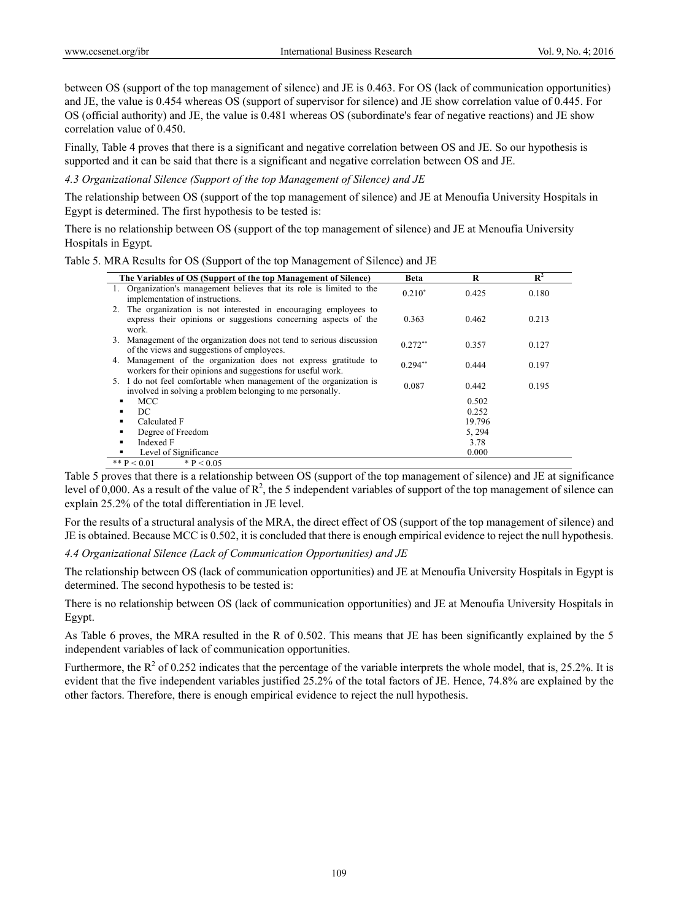between OS (support of the top management of silence) and JE is 0.463. For OS (lack of communication opportunities) and JE, the value is 0.454 whereas OS (support of supervisor for silence) and JE show correlation value of 0.445. For OS (official authority) and JE, the value is 0.481 whereas OS (subordinate's fear of negative reactions) and JE show correlation value of 0.450.

Finally, Table 4 proves that there is a significant and negative correlation between OS and JE. So our hypothesis is supported and it can be said that there is a significant and negative correlation between OS and JE.

*4.3 Organizational Silence (Support of the top Management of Silence) and JE* 

The relationship between OS (support of the top management of silence) and JE at Menoufia University Hospitals in Egypt is determined. The first hypothesis to be tested is:

There is no relationship between OS (support of the top management of silence) and JE at Menoufia University Hospitals in Egypt.

| The Variables of OS (Support of the top Management of Silence)                                                                                   | <b>Beta</b> | R      | $\mathbb{R}^2$ |
|--------------------------------------------------------------------------------------------------------------------------------------------------|-------------|--------|----------------|
| 1. Organization's management believes that its role is limited to the<br>implementation of instructions.                                         | $0.210*$    | 0.425  | 0.180          |
| The organization is not interested in encouraging employees to<br>2.<br>express their opinions or suggestions concerning aspects of the<br>work. | 0.363       | 0.462  | 0.213          |
| Management of the organization does not tend to serious discussion<br>3.<br>of the views and suggestions of employees.                           | $0.272**$   | 0.357  | 0.127          |
| Management of the organization does not express gratitude to<br>4.<br>workers for their opinions and suggestions for useful work.                | $0.294**$   | 0.444  | 0.197          |
| 5. I do not feel comfortable when management of the organization is<br>involved in solving a problem belonging to me personally.                 | 0.087       | 0.442  | 0.195          |
| <b>MCC</b><br>٠                                                                                                                                  |             | 0.502  |                |
| DC.                                                                                                                                              |             | 0.252  |                |
| Calculated F                                                                                                                                     |             | 19.796 |                |
| Degree of Freedom                                                                                                                                |             | 5, 294 |                |
| Indexed F                                                                                                                                        |             | 3.78   |                |
| Level of Significance                                                                                                                            |             | 0.000  |                |

Table 5. MRA Results for OS (Support of the top Management of Silence) and JE

Table 5 proves that there is a relationship between OS (support of the top management of silence) and JE at significance level of 0,000. As a result of the value of  $\mathbb{R}^2$ , the 5 independent variables of support of the top management of silence can explain 25.2% of the total differentiation in JE level.

For the results of a structural analysis of the MRA, the direct effect of OS (support of the top management of silence) and JE is obtained. Because MCC is 0.502, it is concluded that there is enough empirical evidence to reject the null hypothesis.

*4.4 Organizational Silence (Lack of Communication Opportunities) and JE* 

The relationship between OS (lack of communication opportunities) and JE at Menoufia University Hospitals in Egypt is determined. The second hypothesis to be tested is:

There is no relationship between OS (lack of communication opportunities) and JE at Menoufia University Hospitals in Egypt.

As Table 6 proves, the MRA resulted in the R of 0.502. This means that JE has been significantly explained by the 5 independent variables of lack of communication opportunities.

Furthermore, the  $R^2$  of 0.252 indicates that the percentage of the variable interprets the whole model, that is, 25.2%. It is evident that the five independent variables justified 25.2% of the total factors of JE. Hence, 74.8% are explained by the other factors. Therefore, there is enough empirical evidence to reject the null hypothesis.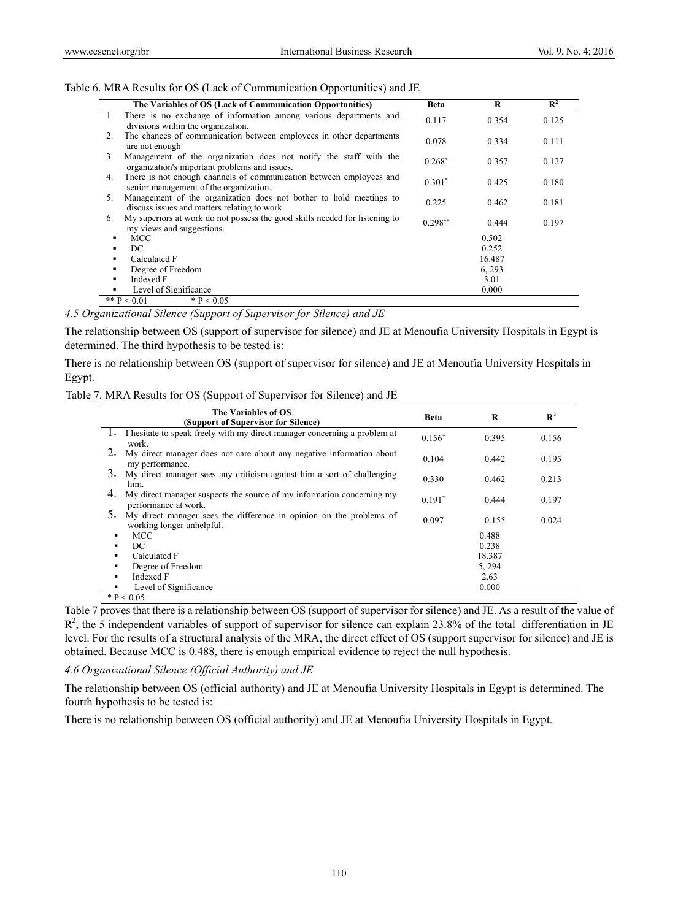#### Table 6. MRA Results for OS (Lack of Communication Opportunities) and JE

|     | The Variables of OS (Lack of Communication Opportunities)                                                          | <b>Beta</b> | R      | $\mathbf{R}^2$ |
|-----|--------------------------------------------------------------------------------------------------------------------|-------------|--------|----------------|
|     | There is no exchange of information among various departments and<br>divisions within the organization.            | 0.117       | 0.354  | 0.125          |
| 2.  | The chances of communication between employees in other departments<br>are not enough                              | 0.078       | 0.334  | 0.111          |
| 3.  | Management of the organization does not notify the staff with the<br>organization's important problems and issues. | $0.268*$    | 0.357  | 0.127          |
| 4.  | There is not enough channels of communication between employees and<br>senior management of the organization.      | $0.301*$    | 0.425  | 0.180          |
| .5. | Management of the organization does not bother to hold meetings to<br>discuss issues and matters relating to work. | 0.225       | 0.462  | 0.181          |
| 6.  | My superiors at work do not possess the good skills needed for listening to<br>my views and suggestions.           | $0.298**$   | 0.444  | 0.197          |
|     | <b>MCC</b>                                                                                                         |             | 0.502  |                |
| ٠   | DC                                                                                                                 |             | 0.252  |                |
| ٠   | Calculated F                                                                                                       |             | 16.487 |                |
|     | Degree of Freedom                                                                                                  |             | 6, 293 |                |
| ٠   | Indexed F                                                                                                          |             | 3.01   |                |
|     | Level of Significance                                                                                              |             | 0.000  |                |
|     | ** $P < 0.01$<br>* $P < 0.05$                                                                                      |             |        |                |

*4.5 Organizational Silence (Support of Supervisor for Silence) and JE* 

The relationship between OS (support of supervisor for silence) and JE at Menoufia University Hospitals in Egypt is determined. The third hypothesis to be tested is:

There is no relationship between OS (support of supervisor for silence) and JE at Menoufia University Hospitals in Egypt.

#### Table 7. MRA Results for OS (Support of Supervisor for Silence) and JE

|    | The Variables of OS<br>(Support of Supervisor for Silence)                                       | <b>Beta</b> | R      | $\mathbf{R}^2$ |
|----|--------------------------------------------------------------------------------------------------|-------------|--------|----------------|
|    | 1. I hesitate to speak freely with my direct manager concerning a problem at<br>work.            | $0.156*$    | 0.395  | 0.156          |
| 2. | My direct manager does not care about any negative information about<br>my performance.          | 0.104       | 0.442  | 0.195          |
| 3. | My direct manager sees any criticism against him a sort of challenging<br>him.                   | 0.330       | 0.462  | 0.213          |
| 4. | My direct manager suspects the source of my information concerning my<br>performance at work.    | $0.191*$    | 0.444  | 0.197          |
| 5. | My direct manager sees the difference in opinion on the problems of<br>working longer unhelpful. | 0.097       | 0.155  | 0.024          |
| ٠  | <b>MCC</b>                                                                                       |             | 0.488  |                |
| ٠  | DC                                                                                               |             | 0.238  |                |
| ٠  | Calculated F                                                                                     |             | 18.387 |                |
| ٠  | Degree of Freedom                                                                                |             | 5, 294 |                |
| ٠  | Indexed F                                                                                        |             | 2.63   |                |
|    | Level of Significance                                                                            |             | 0.000  |                |

 $\le 0.05$ 

Table 7 proves that there is a relationship between OS (support of supervisor for silence) and JE. As a result of the value of  $R<sup>2</sup>$ , the 5 independent variables of support of supervisor for silence can explain 23.8% of the total differentiation in JE level. For the results of a structural analysis of the MRA, the direct effect of OS (support supervisor for silence) and JE is obtained. Because MCC is 0.488, there is enough empirical evidence to reject the null hypothesis.

*4.6 Organizational Silence (Official Authority) and JE* 

The relationship between OS (official authority) and JE at Menoufia University Hospitals in Egypt is determined. The fourth hypothesis to be tested is:

There is no relationship between OS (official authority) and JE at Menoufia University Hospitals in Egypt.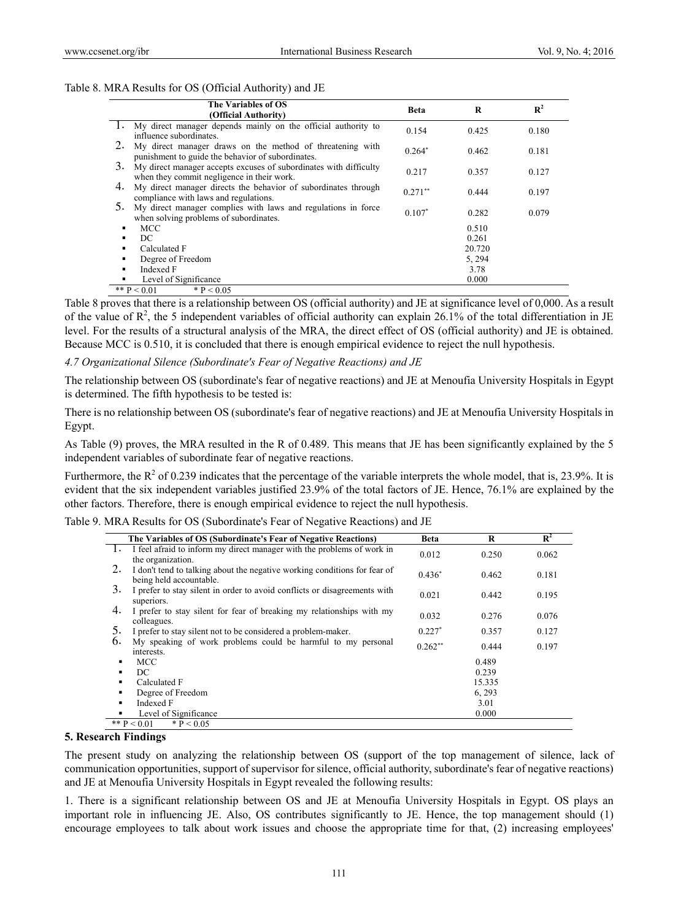#### Table 8. MRA Results for OS (Official Authority) and JE

| The Variables of OS<br>(Official Authority)                                                                           | Beta      | R      | $\mathbb{R}^2$ |
|-----------------------------------------------------------------------------------------------------------------------|-----------|--------|----------------|
| My direct manager depends mainly on the official authority to<br>influence subordinates.                              | 0.154     | 0.425  | 0.180          |
| 2.<br>My direct manager draws on the method of threatening with<br>punishment to guide the behavior of subordinates.  | $0.264*$  | 0.462  | 0.181          |
| 3.<br>My direct manager accepts excuses of subordinates with difficulty<br>when they commit negligence in their work. | 0.217     | 0.357  | 0.127          |
| 4.<br>My direct manager directs the behavior of subordinates through<br>compliance with laws and regulations.         | $0.271**$ | 0.444  | 0.197          |
| 5.<br>My direct manager complies with laws and regulations in force<br>when solving problems of subordinates.         | $0.107*$  | 0.282  | 0.079          |
| <b>MCC</b><br>٠                                                                                                       |           | 0.510  |                |
| DC<br>٠                                                                                                               |           | 0.261  |                |
| Calculated F                                                                                                          |           | 20.720 |                |
| Degree of Freedom<br>٠                                                                                                |           | 5, 294 |                |
| Indexed F                                                                                                             |           | 3.78   |                |
| Level of Significance                                                                                                 |           | 0.000  |                |

Table 8 proves that there is a relationship between OS (official authority) and JE at significance level of 0,000. As a result of the value of  $\mathbb{R}^2$ , the 5 independent variables of official authority can explain 26.1% of the total differentiation in JE level. For the results of a structural analysis of the MRA, the direct effect of OS (official authority) and JE is obtained. Because MCC is 0.510, it is concluded that there is enough empirical evidence to reject the null hypothesis.

*4.7 Organizational Silence (Subordinate's Fear of Negative Reactions) and JE* 

The relationship between OS (subordinate's fear of negative reactions) and JE at Menoufia University Hospitals in Egypt is determined. The fifth hypothesis to be tested is:

There is no relationship between OS (subordinate's fear of negative reactions) and JE at Menoufia University Hospitals in Egypt.

As Table (9) proves, the MRA resulted in the R of 0.489. This means that JE has been significantly explained by the 5 independent variables of subordinate fear of negative reactions.

Furthermore, the  $R^2$  of 0.239 indicates that the percentage of the variable interprets the whole model, that is, 23.9%. It is evident that the six independent variables justified 23.9% of the total factors of JE. Hence, 76.1% are explained by the other factors. Therefore, there is enough empirical evidence to reject the null hypothesis.

Table 9. MRA Results for OS (Subordinate's Fear of Negative Reactions) and JE

|                | The Variables of OS (Subordinate's Fear of Negative Reactions)                                       | <b>Beta</b> | R      | $\mathbf{R}^2$ |
|----------------|------------------------------------------------------------------------------------------------------|-------------|--------|----------------|
| -1.            | I feel afraid to inform my direct manager with the problems of work in<br>the organization.          | 0.012       | 0.250  | 0.062          |
| 2.             | I don't tend to talking about the negative working conditions for fear of<br>being held accountable. | $0.436*$    | 0.462  | 0.181          |
| 3.             | I prefer to stay silent in order to avoid conflicts or disagreements with<br>superiors.              | 0.021       | 0.442  | 0.195          |
| 4.             | I prefer to stay silent for fear of breaking my relationships with my<br>colleagues.                 | 0.032       | 0.276  | 0.076          |
| 5.             | I prefer to stay silent not to be considered a problem-maker.                                        | $0.227*$    | 0.357  | 0.127          |
| 6.             | My speaking of work problems could be harmful to my personal<br>interests.                           | $0.262**$   | 0.444  | 0.197          |
| ٠              | MCC                                                                                                  |             | 0.489  |                |
| $\blacksquare$ | DC                                                                                                   |             | 0.239  |                |
| $\blacksquare$ | Calculated F                                                                                         |             | 15.335 |                |
|                | Degree of Freedom                                                                                    |             | 6, 293 |                |
| ٠              | Indexed F                                                                                            |             | 3.01   |                |
| ٠              | Level of Significance                                                                                |             | 0.000  |                |
|                | ** $P < 0.01$<br>* $P < 0.05$                                                                        |             |        |                |

#### **5. Research Findings**

The present study on analyzing the relationship between OS (support of the top management of silence, lack of communication opportunities, support of supervisor for silence, official authority, subordinate's fear of negative reactions) and JE at Menoufia University Hospitals in Egypt revealed the following results:

1. There is a significant relationship between OS and JE at Menoufia University Hospitals in Egypt. OS plays an important role in influencing JE. Also, OS contributes significantly to JE. Hence, the top management should (1) encourage employees to talk about work issues and choose the appropriate time for that, (2) increasing employees'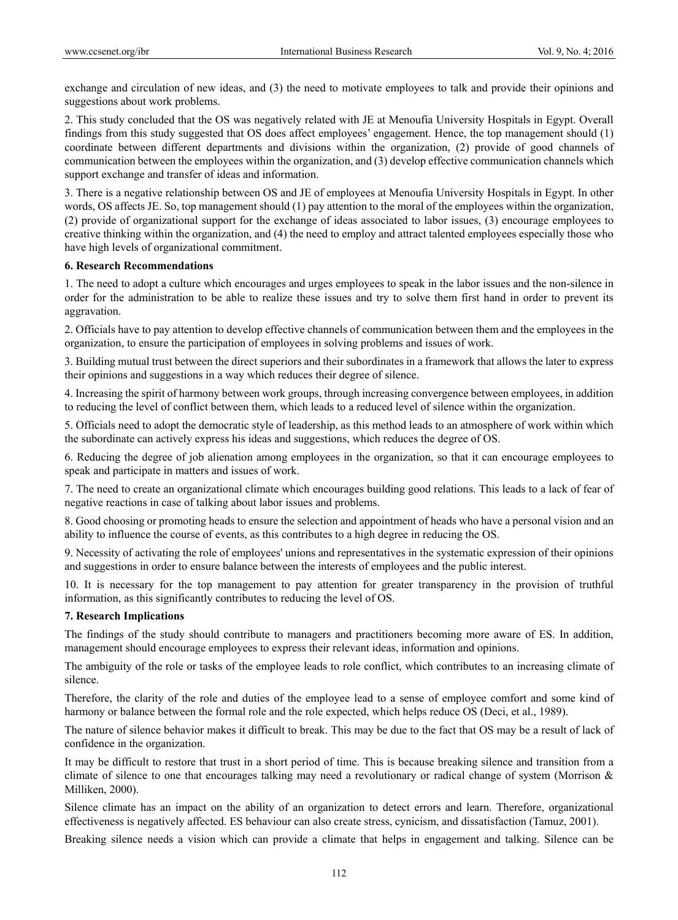exchange and circulation of new ideas, and (3) the need to motivate employees to talk and provide their opinions and suggestions about work problems.

2. This study concluded that the OS was negatively related with JE at Menoufia University Hospitals in Egypt. Overall findings from this study suggested that OS does affect employees' engagement. Hence, the top management should (1) coordinate between different departments and divisions within the organization, (2) provide of good channels of communication between the employees within the organization, and (3) develop effective communication channels which support exchange and transfer of ideas and information.

3. There is a negative relationship between OS and JE of employees at Menoufia University Hospitals in Egypt. In other words, OS affects JE. So, top management should (1) pay attention to the moral of the employees within the organization, (2) provide of organizational support for the exchange of ideas associated to labor issues, (3) encourage employees to creative thinking within the organization, and (4) the need to employ and attract talented employees especially those who have high levels of organizational commitment.

#### **6. Research Recommendations**

1. The need to adopt a culture which encourages and urges employees to speak in the labor issues and the non-silence in order for the administration to be able to realize these issues and try to solve them first hand in order to prevent its aggravation.

2. Officials have to pay attention to develop effective channels of communication between them and the employees in the organization, to ensure the participation of employees in solving problems and issues of work.

3. Building mutual trust between the direct superiors and their subordinates in a framework that allows the later to express their opinions and suggestions in a way which reduces their degree of silence.

4. Increasing the spirit of harmony between work groups, through increasing convergence between employees, in addition to reducing the level of conflict between them, which leads to a reduced level of silence within the organization.

5. Officials need to adopt the democratic style of leadership, as this method leads to an atmosphere of work within which the subordinate can actively express his ideas and suggestions, which reduces the degree of OS.

6. Reducing the degree of job alienation among employees in the organization, so that it can encourage employees to speak and participate in matters and issues of work.

7. The need to create an organizational climate which encourages building good relations. This leads to a lack of fear of negative reactions in case of talking about labor issues and problems.

8. Good choosing or promoting heads to ensure the selection and appointment of heads who have a personal vision and an ability to influence the course of events, as this contributes to a high degree in reducing the OS.

9. Necessity of activating the role of employees' unions and representatives in the systematic expression of their opinions and suggestions in order to ensure balance between the interests of employees and the public interest.

10. It is necessary for the top management to pay attention for greater transparency in the provision of truthful information, as this significantly contributes to reducing the level of OS.

## **7. Research Implications**

The findings of the study should contribute to managers and practitioners becoming more aware of ES. In addition, management should encourage employees to express their relevant ideas, information and opinions.

The ambiguity of the role or tasks of the employee leads to role conflict, which contributes to an increasing climate of silence.

Therefore, the clarity of the role and duties of the employee lead to a sense of employee comfort and some kind of harmony or balance between the formal role and the role expected, which helps reduce OS (Deci, et al., 1989).

The nature of silence behavior makes it difficult to break. This may be due to the fact that OS may be a result of lack of confidence in the organization.

It may be difficult to restore that trust in a short period of time. This is because breaking silence and transition from a climate of silence to one that encourages talking may need a revolutionary or radical change of system (Morrison & Milliken, 2000).

Silence climate has an impact on the ability of an organization to detect errors and learn. Therefore, organizational effectiveness is negatively affected. ES behaviour can also create stress, cynicism, and dissatisfaction (Tamuz, 2001).

Breaking silence needs a vision which can provide a climate that helps in engagement and talking. Silence can be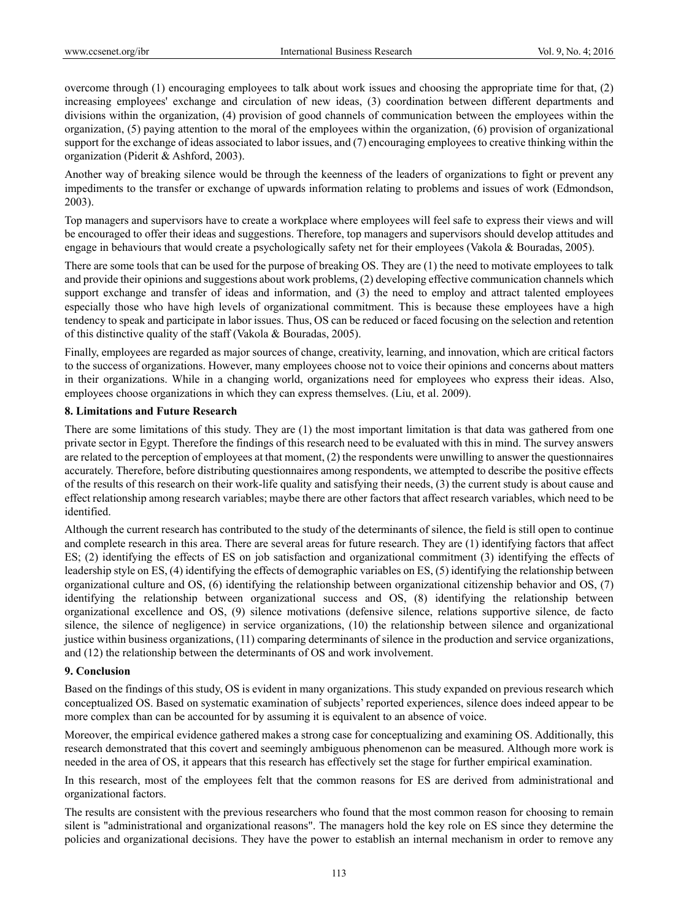overcome through (1) encouraging employees to talk about work issues and choosing the appropriate time for that, (2) increasing employees' exchange and circulation of new ideas, (3) coordination between different departments and divisions within the organization, (4) provision of good channels of communication between the employees within the organization, (5) paying attention to the moral of the employees within the organization, (6) provision of organizational support for the exchange of ideas associated to labor issues, and (7) encouraging employees to creative thinking within the organization (Piderit & Ashford, 2003).

Another way of breaking silence would be through the keenness of the leaders of organizations to fight or prevent any impediments to the transfer or exchange of upwards information relating to problems and issues of work (Edmondson, 2003).

Top managers and supervisors have to create a workplace where employees will feel safe to express their views and will be encouraged to offer their ideas and suggestions. Therefore, top managers and supervisors should develop attitudes and engage in behaviours that would create a psychologically safety net for their employees (Vakola & Bouradas, 2005).

There are some tools that can be used for the purpose of breaking OS. They are (1) the need to motivate employees to talk and provide their opinions and suggestions about work problems, (2) developing effective communication channels which support exchange and transfer of ideas and information, and  $(3)$  the need to employ and attract talented employees especially those who have high levels of organizational commitment. This is because these employees have a high tendency to speak and participate in labor issues. Thus, OS can be reduced or faced focusing on the selection and retention of this distinctive quality of the staff (Vakola & Bouradas, 2005).

Finally, employees are regarded as major sources of change, creativity, learning, and innovation, which are critical factors to the success of organizations. However, many employees choose not to voice their opinions and concerns about matters in their organizations. While in a changing world, organizations need for employees who express their ideas. Also, employees choose organizations in which they can express themselves. (Liu, et al. 2009).

# **8. Limitations and Future Research**

There are some limitations of this study. They are (1) the most important limitation is that data was gathered from one private sector in Egypt. Therefore the findings of this research need to be evaluated with this in mind. The survey answers are related to the perception of employees at that moment, (2) the respondents were unwilling to answer the questionnaires accurately. Therefore, before distributing questionnaires among respondents, we attempted to describe the positive effects of the results of this research on their work-life quality and satisfying their needs, (3) the current study is about cause and effect relationship among research variables; maybe there are other factors that affect research variables, which need to be identified.

Although the current research has contributed to the study of the determinants of silence, the field is still open to continue and complete research in this area. There are several areas for future research. They are (1) identifying factors that affect ES; (2) identifying the effects of ES on job satisfaction and organizational commitment (3) identifying the effects of leadership style on ES, (4) identifying the effects of demographic variables on ES, (5) identifying the relationship between organizational culture and OS, (6) identifying the relationship between organizational citizenship behavior and OS, (7) identifying the relationship between organizational success and OS, (8) identifying the relationship between organizational excellence and OS, (9) silence motivations (defensive silence, relations supportive silence, de facto silence, the silence of negligence) in service organizations, (10) the relationship between silence and organizational justice within business organizations, (11) comparing determinants of silence in the production and service organizations, and (12) the relationship between the determinants of OS and work involvement.

## **9. Conclusion**

Based on the findings of this study, OS is evident in many organizations. This study expanded on previous research which conceptualized OS. Based on systematic examination of subjects' reported experiences, silence does indeed appear to be more complex than can be accounted for by assuming it is equivalent to an absence of voice.

Moreover, the empirical evidence gathered makes a strong case for conceptualizing and examining OS. Additionally, this research demonstrated that this covert and seemingly ambiguous phenomenon can be measured. Although more work is needed in the area of OS, it appears that this research has effectively set the stage for further empirical examination.

In this research, most of the employees felt that the common reasons for ES are derived from administrational and organizational factors.

The results are consistent with the previous researchers who found that the most common reason for choosing to remain silent is "administrational and organizational reasons". The managers hold the key role on ES since they determine the policies and organizational decisions. They have the power to establish an internal mechanism in order to remove any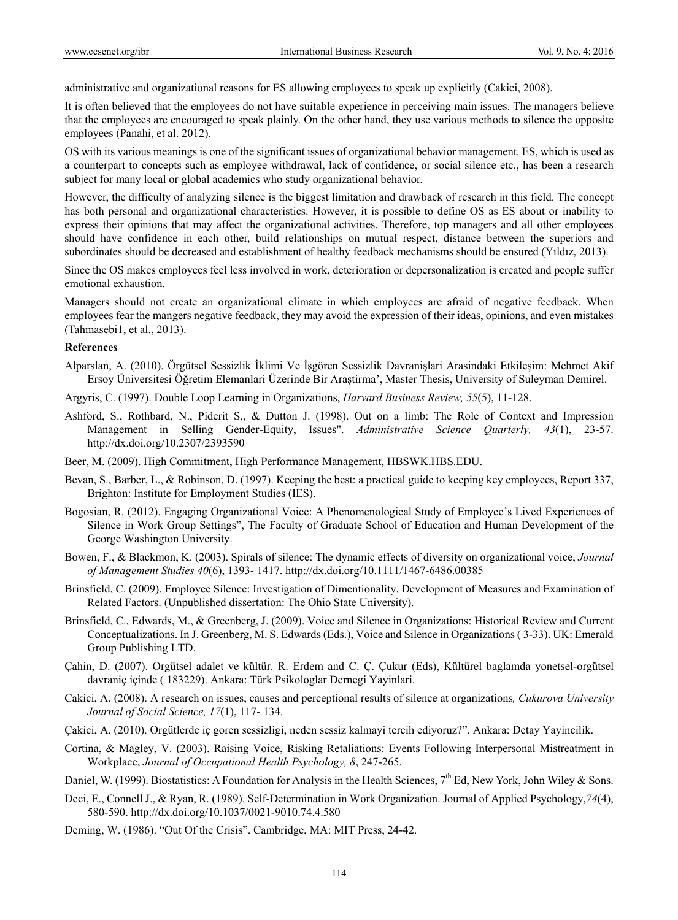administrative and organizational reasons for ES allowing employees to speak up explicitly (Cakici, 2008).

It is often believed that the employees do not have suitable experience in perceiving main issues. The managers believe that the employees are encouraged to speak plainly. On the other hand, they use various methods to silence the opposite employees (Panahi, et al. 2012).

OS with its various meanings is one of the significant issues of organizational behavior management. ES, which is used as a counterpart to concepts such as employee withdrawal, lack of confidence, or social silence etc., has been a research subject for many local or global academics who study organizational behavior.

However, the difficulty of analyzing silence is the biggest limitation and drawback of research in this field. The concept has both personal and organizational characteristics. However, it is possible to define OS as ES about or inability to express their opinions that may affect the organizational activities. Therefore, top managers and all other employees should have confidence in each other, build relationships on mutual respect, distance between the superiors and subordinates should be decreased and establishment of healthy feedback mechanisms should be ensured (Yıldız, 2013).

Since the OS makes employees feel less involved in work, deterioration or depersonalization is created and people suffer emotional exhaustion.

Managers should not create an organizational climate in which employees are afraid of negative feedback. When employees fear the mangers negative feedback, they may avoid the expression of their ideas, opinions, and even mistakes (Tahmasebi1, et al., 2013).

#### **References**

- Alparslan, A. (2010). Örgütsel Sessizlik İklimi Ve İşgören Sessizlik Davranişlari Arasindaki Etkileşim: Mehmet Akif Ersoy Üniversitesi Öğretim Elemanlari Üzerinde Bir Araştirma', Master Thesis, University of Suleyman Demirel.
- Argyris, C. (1997). Double Loop Learning in Organizations, *Harvard Business Review, 55*(5), 11-128.
- Ashford, S., Rothbard, N., Piderit S., & Dutton J. (1998). Out on a limb: The Role of Context and Impression Management in Selling Gender-Equity, Issues". *Administrative Science Quarterly, 43*(1), 23-57. http://dx.doi.org/10.2307/2393590
- Beer, M. (2009). High Commitment, High Performance Management, HBSWK.HBS.EDU.
- Bevan, S., Barber, L., & Robinson, D. (1997). Keeping the best: a practical guide to keeping key employees, Report 337, Brighton: Institute for Employment Studies (IES).
- Bogosian, R. (2012). Engaging Organizational Voice: A Phenomenological Study of Employee's Lived Experiences of Silence in Work Group Settings", The Faculty of Graduate School of Education and Human Development of the George Washington University.
- Bowen, F., & Blackmon, K. (2003). Spirals of silence: The dynamic effects of diversity on organizational voice, *Journal of Management Studies 40*(6), 1393- 1417. http://dx.doi.org/10.1111/1467-6486.00385
- Brinsfield, C. (2009). Employee Silence: Investigation of Dimentionality, Development of Measures and Examination of Related Factors. (Unpublished dissertation: The Ohio State University).
- Brinsfield, C., Edwards, M., & Greenberg, J. (2009). Voice and Silence in Organizations: Historical Review and Current Conceptualizations. In J. Greenberg, M. S. Edwards (Eds.), Voice and Silence in Organizations ( 3-33). UK: Emerald Group Publishing LTD.
- Çahin, D. (2007). Orgütsel adalet ve kültür. R. Erdem and C. Ç. Çukur (Eds), Kültürel baglamda yonetsel-orgütsel davraniç içinde ( 183229). Ankara: Türk Psikologlar Dernegi Yayinlari.
- Cakici, A. (2008). A research on issues, causes and perceptional results of silence at organizations*, Cukurova University Journal of Social Science, 17*(1), 117- 134.
- Çakici, A. (2010). Orgütlerde iç goren sessizligi, neden sessiz kalmayi tercih ediyoruz?". Ankara: Detay Yayincilik.
- Cortina, & Magley, V. (2003). Raising Voice, Risking Retaliations: Events Following Interpersonal Mistreatment in Workplace, *Journal of Occupational Health Psychology, 8*, 247-265.
- Daniel, W. (1999). Biostatistics: A Foundation for Analysis in the Health Sciences, 7<sup>th</sup> Ed, New York, John Wiley & Sons.
- Deci, E., Connell J., & Ryan, R. (1989). Self-Determination in Work Organization. Journal of Applied Psychology,*74*(4), 580-590. http://dx.doi.org/10.1037/0021-9010.74.4.580
- Deming, W. (1986). "Out Of the Crisis". Cambridge, MA: MIT Press, 24-42.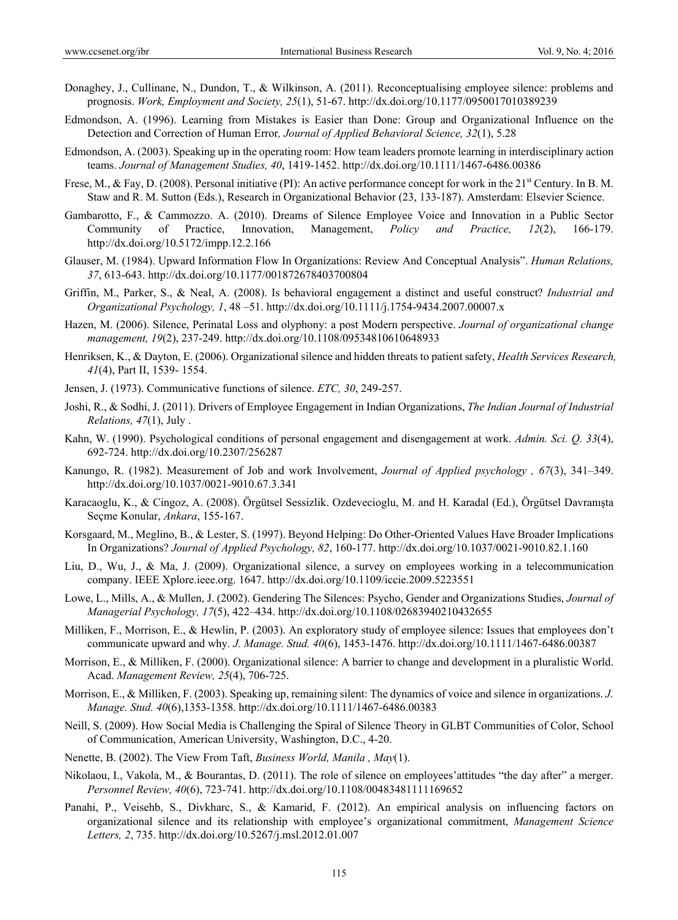- Donaghey, J., Cullinane, N., Dundon, T., & Wilkinson, A. (2011). Reconceptualising employee silence: problems and prognosis. *Work, Employment and Society, 25*(1), 51-67. http://dx.doi.org/10.1177/0950017010389239
- Edmondson, A. (1996). Learning from Mistakes is Easier than Done: Group and Organizational Influence on the Detection and Correction of Human Error*, Journal of Applied Behavioral Science, 32*(1), 5.28
- Edmondson, A. (2003). Speaking up in the operating room: How team leaders promote learning in interdisciplinary action teams. *Journal of Management Studies, 40*, 1419-1452. http://dx.doi.org/10.1111/1467-6486.00386
- Frese, M., & Fay, D. (2008). Personal initiative (PI): An active performance concept for work in the  $21<sup>st</sup>$  Century. In B. M. Staw and R. M. Sutton (Eds.), Research in Organizational Behavior (23, 133-187). Amsterdam: Elsevier Science.
- Gambarotto, F., & Cammozzo. A. (2010). Dreams of Silence Employee Voice and Innovation in a Public Sector Community of Practice, Innovation, Management, *Policy and Practice, 12*(2), 166-179. http://dx.doi.org/10.5172/impp.12.2.166
- Glauser, M. (1984). Upward Information Flow In Organizations: Review And Conceptual Analysis". *Human Relations, 37*, 613-643. http://dx.doi.org/10.1177/001872678403700804
- Griffin, M., Parker, S., & Neal, A. (2008). Is behavioral engagement a distinct and useful construct? *Industrial and Organizational Psychology, 1*, 48 –51. http://dx.doi.org/10.1111/j.1754-9434.2007.00007.x
- Hazen, M. (2006). Silence, Perinatal Loss and olyphony: a post Modern perspective. *Journal of organizational change management, 19*(2), 237-249. http://dx.doi.org/10.1108/09534810610648933
- Henriksen, K., & Dayton, E. (2006). Organizational silence and hidden threats to patient safety, *Health Services Research, 41*(4), Part II, 1539- 1554.
- Jensen, J. (1973). Communicative functions of silence. *ETC, 30*, 249-257.
- Joshi, R., & Sodhi, J. (2011). Drivers of Employee Engagement in Indian Organizations, *The Indian Journal of Industrial Relations, 47*(1), July .
- Kahn, W. (1990). Psychological conditions of personal engagement and disengagement at work. *Admin. Sci. Q. 33*(4), 692-724. http://dx.doi.org/10.2307/256287
- Kanungo, R. (1982). Measurement of Job and work Involvement, *Journal of Applied psychology , 67*(3), 341–349. http://dx.doi.org/10.1037/0021-9010.67.3.341
- Karacaoglu, K., & Cingoz, A. (2008). Örgütsel Sessizlik. Ozdevecioglu, M. and H. Karadal (Ed.), Örgütsel Davranışta Seçme Konular, *Ankara*, 155-167.
- Korsgaard, M., Meglino, B., & Lester, S. (1997). Beyond Helping: Do Other-Oriented Values Have Broader Implications In Organizations? *Journal of Applied Psychology, 82*, 160-177. http://dx.doi.org/10.1037/0021-9010.82.1.160
- Liu, D., Wu, J., & Ma, J. (2009). Organizational silence, a survey on employees working in a telecommunication company. IEEE Xplore.ieee.org. 1647. http://dx.doi.org/10.1109/iccie.2009.5223551
- Lowe, L., Mills, A., & Mullen, J. (2002). Gendering The Silences: Psycho, Gender and Organizations Studies, *Journal of Managerial Psychology, 17*(5), 422–434. http://dx.doi.org/10.1108/02683940210432655
- Milliken, F., Morrison, E., & Hewlin, P. (2003). An exploratory study of employee silence: Issues that employees don't communicate upward and why. *J. Manage. Stud. 40*(6), 1453-1476. http://dx.doi.org/10.1111/1467-6486.00387
- Morrison, E., & Milliken, F. (2000). Organizational silence: A barrier to change and development in a pluralistic World. Acad. *Management Review, 25*(4), 706-725.
- Morrison, E., & Milliken, F. (2003). Speaking up, remaining silent: The dynamics of voice and silence in organizations. *J. Manage. Stud. 40*(6),1353-1358. http://dx.doi.org/10.1111/1467-6486.00383
- Neill, S. (2009). How Social Media is Challenging the Spiral of Silence Theory in GLBT Communities of Color, School of Communication, American University, Washington, D.C., 4-20.
- Nenette, B. (2002). The View From Taft, *Business World, Manila , May*(1).
- Nikolaou, I., Vakola, M., & Bourantas, D. (2011). The role of silence on employees'attitudes "the day after" a merger. *Personnel Review, 40*(6), 723-741. http://dx.doi.org/10.1108/00483481111169652
- Panahi, P., Veisehb, S., Divkharc, S., & Kamarid, F. (2012). An empirical analysis on influencing factors on organizational silence and its relationship with employee's organizational commitment, *Management Science Letters, 2*, 735. http://dx.doi.org/10.5267/j.msl.2012.01.007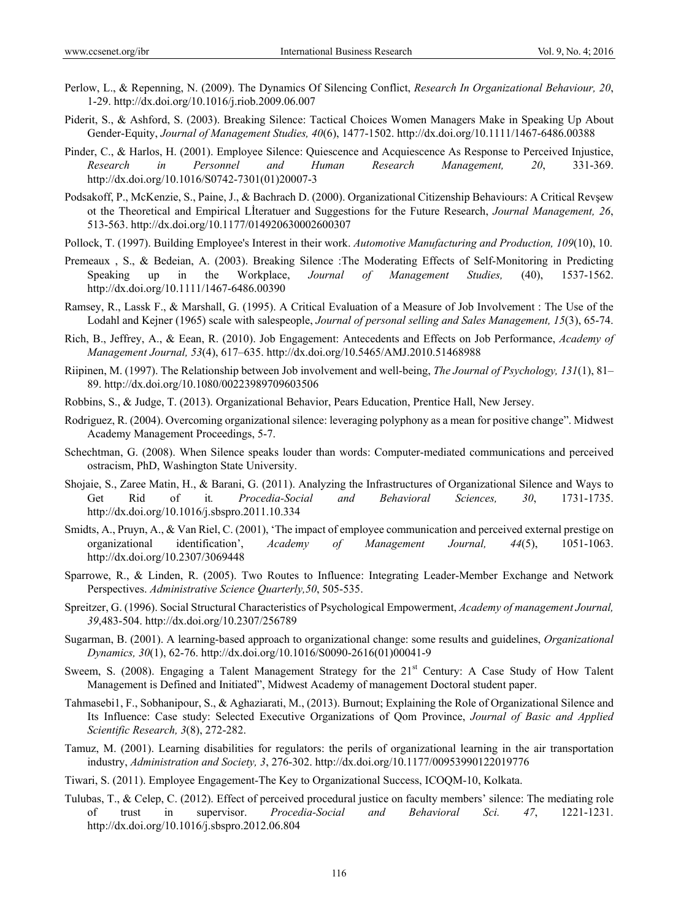- Perlow, L., & Repenning, N. (2009). The Dynamics Of Silencing Conflict, *Research In Organizational Behaviour, 20*, 1-29. http://dx.doi.org/10.1016/j.riob.2009.06.007
- Piderit, S., & Ashford, S. (2003). Breaking Silence: Tactical Choices Women Managers Make in Speaking Up About Gender-Equity, *Journal of Management Studies, 40*(6), 1477-1502. http://dx.doi.org/10.1111/1467-6486.00388
- Pinder, C., & Harlos, H. (2001). Employee Silence: Quiescence and Acquiescence As Response to Perceived Injustice, *Research in Personnel and Human Research Management, 20*, 331-369. http://dx.doi.org/10.1016/S0742-7301(01)20007-3
- Podsakoff, P., McKenzie, S., Paine, J., & Bachrach D. (2000). Organizational Citizenship Behaviours: A Critical Revşew ot the Theoretical and Empirical Lİteratuer and Suggestions for the Future Research, *Journal Management, 26*, 513-563. http://dx.doi.org/10.1177/014920630002600307
- Pollock, T. (1997). Building Employee's Interest in their work. *Automotive Manufacturing and Production, 109*(10), 10.
- Premeaux , S., & Bedeian, A. (2003). Breaking Silence :The Moderating Effects of Self-Monitoring in Predicting Speaking up in the Workplace, *Journal of Management Studies,* (40), 1537-1562. http://dx.doi.org/10.1111/1467-6486.00390
- Ramsey, R., Lassk F., & Marshall, G. (1995). A Critical Evaluation of a Measure of Job Involvement : The Use of the Lodahl and Kejner (1965) scale with salespeople, *Journal of personal selling and Sales Management, 15*(3), 65-74.
- Rich, B., Jeffrey, A., & Eean, R. (2010). Job Engagement: Antecedents and Effects on Job Performance, *Academy of Management Journal, 53*(4), 617–635. http://dx.doi.org/10.5465/AMJ.2010.51468988
- Riipinen, M. (1997). The Relationship between Job involvement and well-being, *The Journal of Psychology, 131*(1), 81– 89. http://dx.doi.org/10.1080/00223989709603506
- Robbins, S., & Judge, T. (2013). Organizational Behavior, Pears Education, Prentice Hall, New Jersey.
- Rodriguez, R. (2004). Overcoming organizational silence: leveraging polyphony as a mean for positive change". Midwest Academy Management Proceedings, 5-7.
- Schechtman, G. (2008). When Silence speaks louder than words: Computer-mediated communications and perceived ostracism, PhD, Washington State University.
- Shojaie, S., Zaree Matin, H., & Barani, G. (2011). Analyzing the Infrastructures of Organizational Silence and Ways to Get Rid of it*. Procedia-Social and Behavioral Sciences, 30*, 1731-1735. http://dx.doi.org/10.1016/j.sbspro.2011.10.334
- Smidts, A., Pruyn, A., & Van Riel, C. (2001), 'The impact of employee communication and perceived external prestige on organizational identification', *Academy of Management Journal, 44*(5), 1051-1063. http://dx.doi.org/10.2307/3069448
- Sparrowe, R., & Linden, R. (2005). Two Routes to Influence: Integrating Leader-Member Exchange and Network Perspectives. *Administrative Science Quarterly,50*, 505-535.
- Spreitzer, G. (1996). Social Structural Characteristics of Psychological Empowerment, *Academy of management Journal, 39*,483-504. http://dx.doi.org/10.2307/256789
- Sugarman, B. (2001). A learning-based approach to organizational change: some results and guidelines, *Organizational Dynamics, 30*(1), 62-76. http://dx.doi.org/10.1016/S0090-2616(01)00041-9
- Sweem, S. (2008). Engaging a Talent Management Strategy for the 21<sup>st</sup> Century: A Case Study of How Talent Management is Defined and Initiated", Midwest Academy of management Doctoral student paper.
- Tahmasebi1, F., Sobhanipour, S., & Aghaziarati, M., (2013). Burnout; Explaining the Role of Organizational Silence and Its Influence: Case study: Selected Executive Organizations of Qom Province, *Journal of Basic and Applied Scientific Research, 3*(8), 272-282.
- Tamuz, M. (2001). Learning disabilities for regulators: the perils of organizational learning in the air transportation industry, *Administration and Society, 3*, 276-302. http://dx.doi.org/10.1177/00953990122019776
- Tiwari, S. (2011). Employee Engagement-The Key to Organizational Success, ICOQM-10, Kolkata.
- Tulubas, T., & Celep, C. (2012). Effect of perceived procedural justice on faculty members' silence: The mediating role of trust in supervisor. *Procedia-Social and Behavioral Sci. 47*, 1221-1231. http://dx.doi.org/10.1016/j.sbspro.2012.06.804